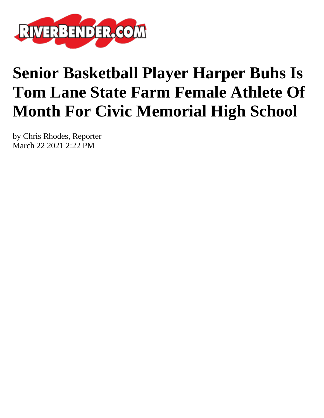

## **Senior Basketball Player Harper Buhs Is Tom Lane State Farm Female Athlete Of Month For Civic Memorial High School**

by Chris Rhodes, Reporter March 22 2021 2:22 PM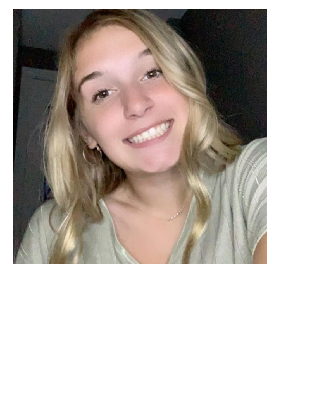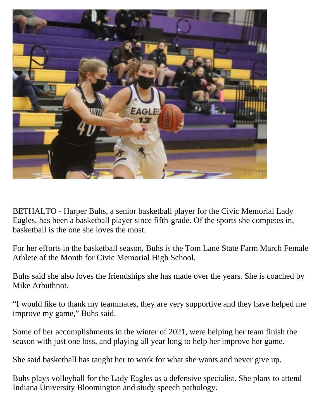

BETHALTO - Harper Buhs, a senior basketball player for the Civic Memorial Lady Eagles, has been a basketball player since fifth-grade. Of the sports she competes in, basketball is the one she loves the most.

For her efforts in the basketball season, Buhs is the Tom Lane State Farm March Female Athlete of the Month for Civic Memorial High School.

Buhs said she also loves the friendships she has made over the years. She is coached by Mike Arbuthnot.

"I would like to thank my teammates, they are very supportive and they have helped me improve my game," Buhs said.

Some of her accomplishments in the winter of 2021, were helping her team finish the season with just one loss, and playing all year long to help her improve her game.

She said basketball has taught her to work for what she wants and never give up.

Buhs plays volleyball for the Lady Eagles as a defensive specialist. She plans to attend Indiana University Bloomington and study speech pathology.